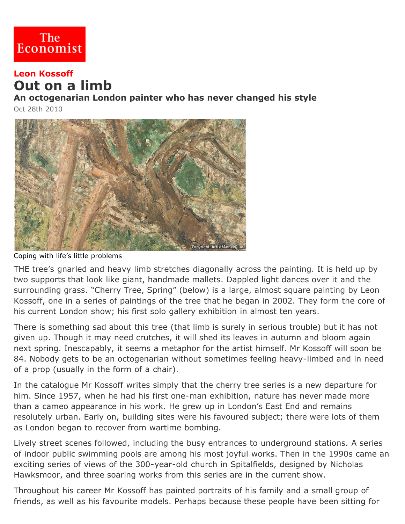

## **Leon Kossoff Out on a limb**

**An octogenarian London painter who has never changed his style**

Oct 28th 2010



Coping with life's little problems

THE tree's gnarled and heavy limb stretches diagonally across the painting. It is held up by two supports that look like giant, handmade mallets. Dappled light dances over it and the surrounding grass. "Cherry Tree, Spring" (below) is a large, almost square painting by Leon Kossoff, one in a series of paintings of the tree that he began in 2002. They form the core of his current London show; his first solo gallery exhibition in almost ten years.

There is something sad about this tree (that limb is surely in serious trouble) but it has not given up. Though it may need crutches, it will shed its leaves in autumn and bloom again next spring. Inescapably, it seems a metaphor for the artist himself. Mr Kossoff will soon be 84. Nobody gets to be an octogenarian without sometimes feeling heavy-limbed and in need of a prop (usually in the form of a chair).

In the catalogue Mr Kossoff writes simply that the cherry tree series is a new departure for him. Since 1957, when he had his first one-man exhibition, nature has never made more than a cameo appearance in his work. He grew up in London's East End and remains resolutely urban. Early on, building sites were his favoured subject; there were lots of them as London began to recover from wartime bombing.

Lively street scenes followed, including the busy entrances to underground stations. A series of indoor public swimming pools are among his most joyful works. Then in the 1990s came an exciting series of views of the 300-year-old church in Spitalfields, designed by Nicholas Hawksmoor, and three soaring works from this series are in the current show.

Throughout his career Mr Kossoff has painted portraits of his family and a small group of friends, as well as his favourite models. Perhaps because these people have been sitting for